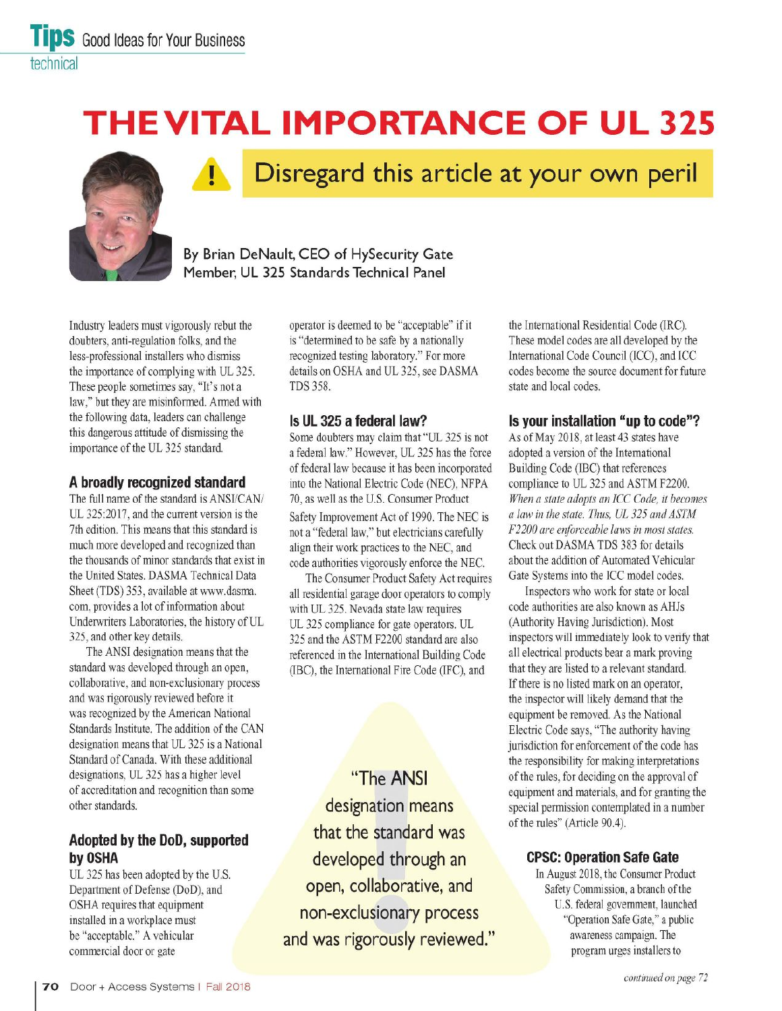# **THEVITAL IMPORTANCE OF UL 325**



# **Disregard this article at your own peril**

**By Brian DeNault, CEO of HySecurity Gate Member, UL 325 Standards Technical Panel** 

Industry leaders must vigorously rebut the doubters, anti-regulation folks, and the less-professional installers who dismiss the importance of complying with UL 325. These people sometimes say, "It's not a law," but they are misinformed. Armed with the following data, leaders can challenge this dangerous attitude of dismissing the importance of the UL 325 standard.

#### **A broadly recognized standard**

The full name of the standard is ANSI/CAN/ UL 325:2017, and the current version is the 7th edition. This means that this standard is much more developed and recognized than the thousands of minor standards that exist in the United States. DASMA Technical Data Sheet (TDS) 353, available at www.dasma. com, provides a lot of information about Underwriters Laboratories, the history of UL 325, and other key details.

The ANSI designation means that the standard was developed through an open, collaborative, and non-exclusionary process and was rigorously reviewed before it was recognized by the American National Standards Institute. The addition of the CAN designation means that UL 325 is a National Standard of Canada. With these additional designations, UL 325 has a higher level of accreditation and recognition than some other standards.

# **Adopted by the DoD, supported by OSHA**

UL 325 has been adopted by the U.S. Department of Defense (DoD), and OSHA requires that equipment installed in a workplace must be "acceptable." A vehicular commercial door or gate

operator is deemed to be "acceptable" if it is "determined to be safe by a nationally recognized testing laboratory." For more details on OSHA and UL 325, see DASMA IDS 358.

### **Is UL 325 a federal law?**

Some doubters may claim that "UL 325 is not a federal law." However, UL 325 has the force of federal law because it has been incorporated into the National Electric Code (NEC), NFPA 70, as well as the U.S. Consumer Product Safety Improvement Act of 1990. The NEC is not a "federal law," but electricians carefully align their work practices to the NEC, and code authorities vigorously enforce the NEC.

The Consumer Product Safety Act requires all residential garage door operators to comply with UL 325. Nevada state law requires UL 325 compliance for gate operators. UL 325 and the ASTM F2200 standard are also referenced in the International Building Code (IBC), the International Fire Code (IFC), and

**"The ANSI designation means that the standard was developed through an open, collaborative, and non-exclusionary process and was rigorously reviewed."**  the International Residential Code (IRC). These model codes are all developed by the International Code Council (ICC), and ICC codes become the source document for future state and local codes.

### **Is your installation "up to code"?**

As of May 2018, at least 43 states have adopted a version of the International Building Code (IBC) that references compliance to UL 325 and ASTM F2200. *When a state adopts an ICC Code, it becomes a law in the state. Thus, UL 325 andASTM F2200 are eriforceable laws in most states.*  Check out DASMA IDS 383 for details about the addition of Automated Vehicular Gate Systems into the ICC model codes.

Inspectors who work for state or local code authorities are also known as AHJs (Authority Having Jurisdiction). Most inspectors will immediately look to verify that all electrical products bear a mark proving that they are listed to a relevant standard. If there is no listed mark on an operator, the inspector will likely demand that the equipment be removed. As the National Electric Code says, "The authority having jurisdiction for enforcement of the code has the responsibility for making interpretations of the rules, for deciding on the approval of equipment and materials, and for granting the special permission contemplated in a number of the rules" (Article 90.4).

## **CPSC: Operation Safe Gate**

In August 2018, the Consumer Product Safety Commission, a branch of the U.S. federal government, launched "Operation Safe Gate," a public awareness campaign. The program urges installers to